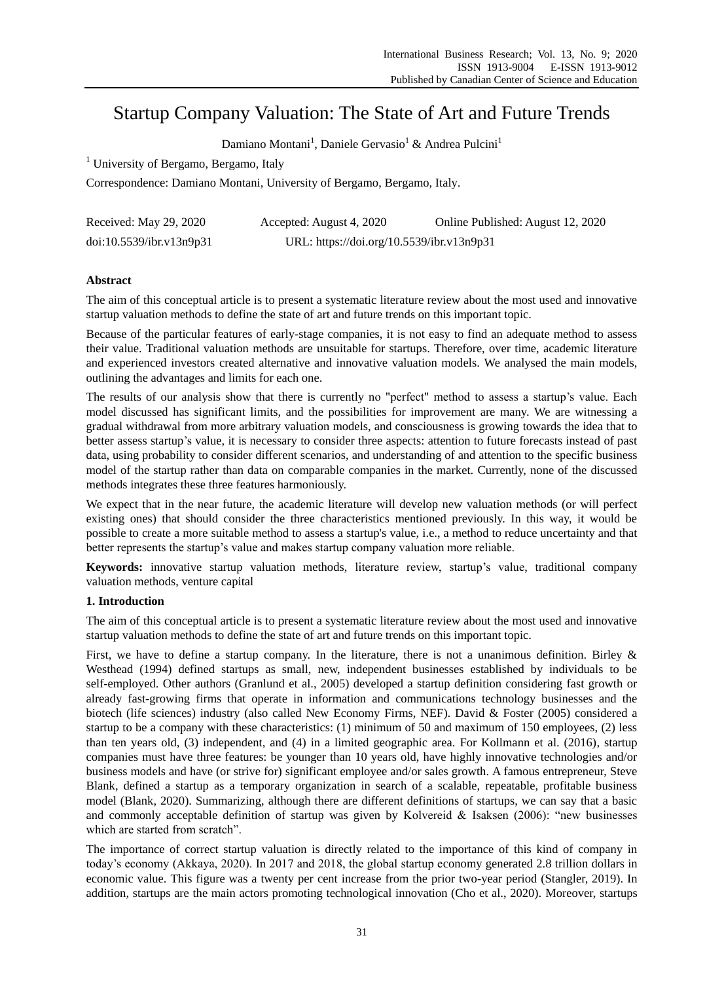# Startup Company Valuation: The State of Art and Future Trends

Damiano Montani<sup>1</sup>, Daniele Gervasio<sup>1</sup> & Andrea Pulcini<sup>1</sup>

<sup>1</sup> University of Bergamo, Bergamo, Italy

Correspondence: Damiano Montani, University of Bergamo, Bergamo, Italy.

| Received: May 29, 2020   | Accepted: August 4, 2020                  | Online Published: August 12, 2020 |
|--------------------------|-------------------------------------------|-----------------------------------|
| doi:10.5539/ibr.v13n9p31 | URL: https://doi.org/10.5539/ibr.v13n9p31 |                                   |

# **Abstract**

The aim of this conceptual article is to present a systematic literature review about the most used and innovative startup valuation methods to define the state of art and future trends on this important topic.

Because of the particular features of early-stage companies, it is not easy to find an adequate method to assess their value. Traditional valuation methods are unsuitable for startups. Therefore, over time, academic literature and experienced investors created alternative and innovative valuation models. We analysed the main models, outlining the advantages and limits for each one.

The results of our analysis show that there is currently no "perfect" method to assess a startup's value. Each model discussed has significant limits, and the possibilities for improvement are many. We are witnessing a gradual withdrawal from more arbitrary valuation models, and consciousness is growing towards the idea that to better assess startup's value, it is necessary to consider three aspects: attention to future forecasts instead of past data, using probability to consider different scenarios, and understanding of and attention to the specific business model of the startup rather than data on comparable companies in the market. Currently, none of the discussed methods integrates these three features harmoniously.

We expect that in the near future, the academic literature will develop new valuation methods (or will perfect existing ones) that should consider the three characteristics mentioned previously. In this way, it would be possible to create a more suitable method to assess a startup's value, i.e., a method to reduce uncertainty and that better represents the startup's value and makes startup company valuation more reliable.

**Keywords:** innovative startup valuation methods, literature review, startup's value, traditional company valuation methods, venture capital

# **1. Introduction**

The aim of this conceptual article is to present a systematic literature review about the most used and innovative startup valuation methods to define the state of art and future trends on this important topic.

First, we have to define a startup company. In the literature, there is not a unanimous definition. Birley & Westhead (1994) defined startups as small, new, independent businesses established by individuals to be self-employed. Other authors (Granlund et al., 2005) developed a startup definition considering fast growth or already fast-growing firms that operate in information and communications technology businesses and the biotech (life sciences) industry (also called New Economy Firms, NEF). David & Foster (2005) considered a startup to be a company with these characteristics: (1) minimum of 50 and maximum of 150 employees, (2) less than ten years old, (3) independent, and (4) in a limited geographic area. For Kollmann et al. (2016), startup companies must have three features: be younger than 10 years old, have highly innovative technologies and/or business models and have (or strive for) significant employee and/or sales growth. A famous entrepreneur, Steve Blank, defined a startup as a temporary organization in search of a scalable, repeatable, profitable business model (Blank, 2020). Summarizing, although there are different definitions of startups, we can say that a basic and commonly acceptable definition of startup was given by Kolvereid & Isaksen  $(2006)$ : "new businesses which are started from scratch".

The importance of correct startup valuation is directly related to the importance of this kind of company in today's economy (Akkaya, 2020). In 2017 and 2018, the global startup economy generated 2.8 trillion dollars in economic value. This figure was a twenty per cent increase from the prior two-year period (Stangler, 2019). In addition, startups are the main actors promoting technological innovation (Cho et al., 2020). Moreover, startups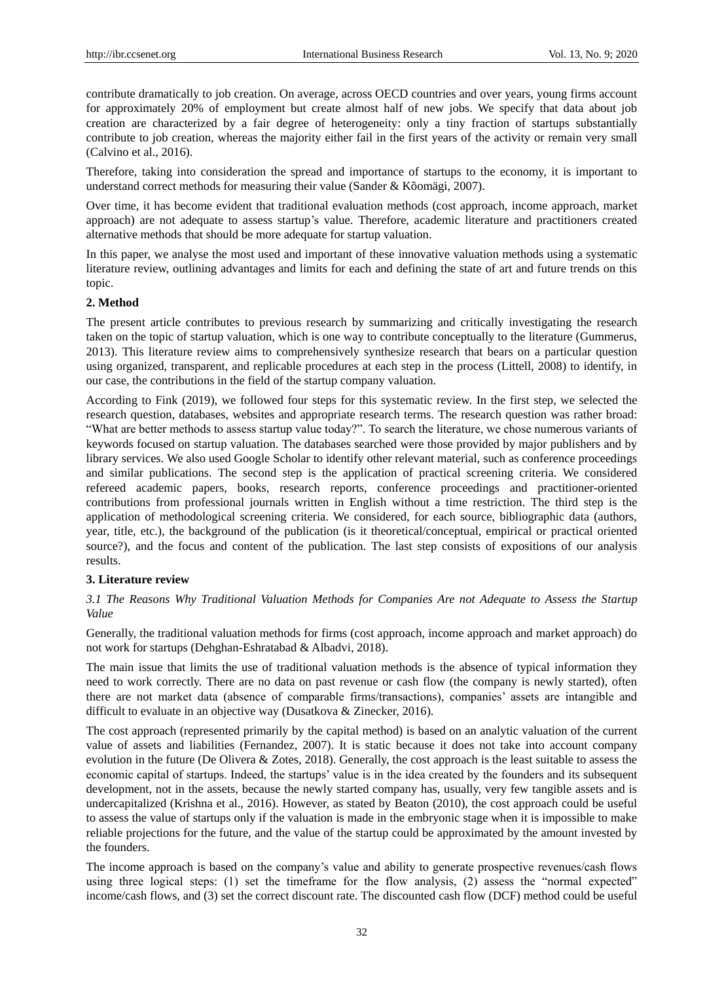contribute dramatically to job creation. On average, across OECD countries and over years, young firms account for approximately 20% of employment but create almost half of new jobs. We specify that data about job creation are characterized by a fair degree of heterogeneity: only a tiny fraction of startups substantially contribute to job creation, whereas the majority either fail in the first years of the activity or remain very small (Calvino et al., 2016).

Therefore, taking into consideration the spread and importance of startups to the economy, it is important to understand correct methods for measuring their value (Sander & Kõomägi, 2007).

Over time, it has become evident that traditional evaluation methods (cost approach, income approach, market approach) are not adequate to assess startup's value. Therefore, academic literature and practitioners created alternative methods that should be more adequate for startup valuation.

In this paper, we analyse the most used and important of these innovative valuation methods using a systematic literature review, outlining advantages and limits for each and defining the state of art and future trends on this topic.

#### **2. Method**

The present article contributes to previous research by summarizing and critically investigating the research taken on the topic of startup valuation, which is one way to contribute conceptually to the literature (Gummerus, 2013). This literature review aims to comprehensively synthesize research that bears on a particular question using organized, transparent, and replicable procedures at each step in the process (Littell, 2008) to identify, in our case, the contributions in the field of the startup company valuation.

According to Fink (2019), we followed four steps for this systematic review. In the first step, we selected the research question, databases, websites and appropriate research terms. The research question was rather broad: ―What are better methods to assess startup value today?‖. To search the literature, we chose numerous variants of keywords focused on startup valuation. The databases searched were those provided by major publishers and by library services. We also used Google Scholar to identify other relevant material, such as conference proceedings and similar publications. The second step is the application of practical screening criteria. We considered refereed academic papers, books, research reports, conference proceedings and practitioner-oriented contributions from professional journals written in English without a time restriction. The third step is the application of methodological screening criteria. We considered, for each source, bibliographic data (authors, year, title, etc.), the background of the publication (is it theoretical/conceptual, empirical or practical oriented source?), and the focus and content of the publication. The last step consists of expositions of our analysis results.

## **3. Literature review**

*3.1 The Reasons Why Traditional Valuation Methods for Companies Are not Adequate to Assess the Startup Value*

Generally, the traditional valuation methods for firms (cost approach, income approach and market approach) do not work for startups (Dehghan-Eshratabad & Albadvi, 2018).

The main issue that limits the use of traditional valuation methods is the absence of typical information they need to work correctly. There are no data on past revenue or cash flow (the company is newly started), often there are not market data (absence of comparable firms/transactions), companies' assets are intangible and difficult to evaluate in an objective way (Dusatkova & Zinecker, 2016).

The cost approach (represented primarily by the capital method) is based on an analytic valuation of the current value of assets and liabilities (Fernandez, 2007). It is static because it does not take into account company evolution in the future (De Olivera & Zotes, 2018). Generally, the cost approach is the least suitable to assess the economic capital of startups. Indeed, the startups' value is in the idea created by the founders and its subsequent development, not in the assets, because the newly started company has, usually, very few tangible assets and is undercapitalized (Krishna et al., 2016). However, as stated by Beaton (2010), the cost approach could be useful to assess the value of startups only if the valuation is made in the embryonic stage when it is impossible to make reliable projections for the future, and the value of the startup could be approximated by the amount invested by the founders.

The income approach is based on the company's value and ability to generate prospective revenues/cash flows using three logical steps:  $(1)$  set the timeframe for the flow analysis,  $(2)$  assess the "normal expected" income/cash flows, and (3) set the correct discount rate. The discounted cash flow (DCF) method could be useful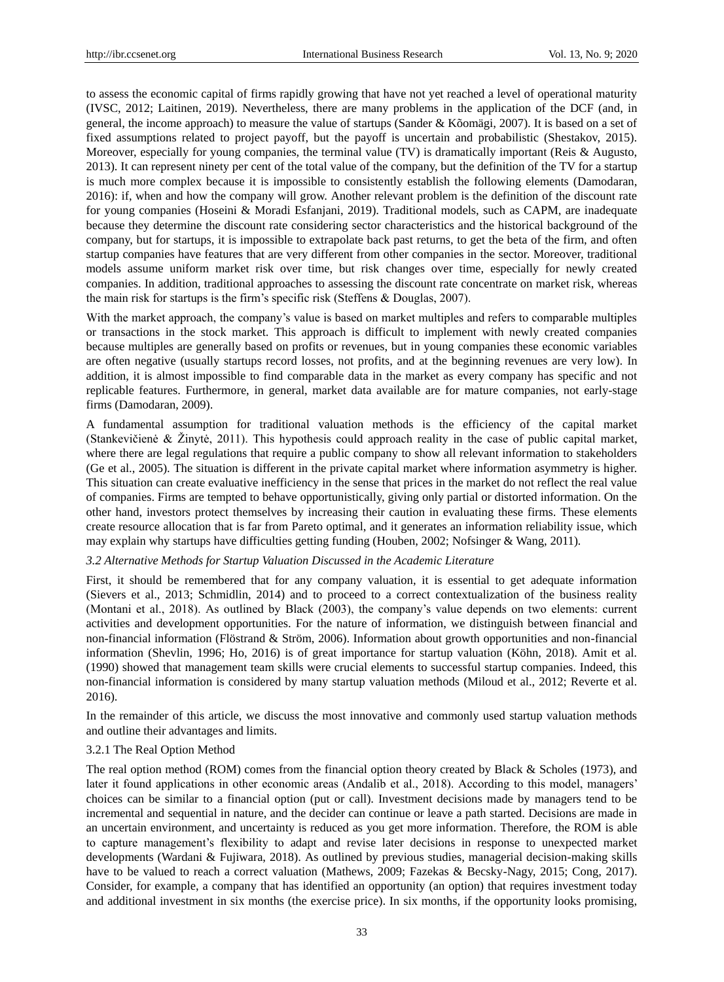to assess the economic capital of firms rapidly growing that have not yet reached a level of operational maturity (IVSC, 2012; Laitinen, 2019). Nevertheless, there are many problems in the application of the DCF (and, in general, the income approach) to measure the value of startups (Sander & Kõomägi, 2007). It is based on a set of fixed assumptions related to project payoff, but the payoff is uncertain and probabilistic (Shestakov, 2015). Moreover, especially for young companies, the terminal value (TV) is dramatically important (Reis & Augusto, 2013). It can represent ninety per cent of the total value of the company, but the definition of the TV for a startup is much more complex because it is impossible to consistently establish the following elements (Damodaran, 2016): if, when and how the company will grow. Another relevant problem is the definition of the discount rate for young companies (Hoseini & Moradi Esfanjani, 2019). Traditional models, such as CAPM, are inadequate because they determine the discount rate considering sector characteristics and the historical background of the company, but for startups, it is impossible to extrapolate back past returns, to get the beta of the firm, and often startup companies have features that are very different from other companies in the sector. Moreover, traditional models assume uniform market risk over time, but risk changes over time, especially for newly created companies. In addition, traditional approaches to assessing the discount rate concentrate on market risk, whereas the main risk for startups is the firm's specific risk (Steffens & Douglas, 2007).

With the market approach, the company's value is based on market multiples and refers to comparable multiples or transactions in the stock market. This approach is difficult to implement with newly created companies because multiples are generally based on profits or revenues, but in young companies these economic variables are often negative (usually startups record losses, not profits, and at the beginning revenues are very low). In addition, it is almost impossible to find comparable data in the market as every company has specific and not replicable features. Furthermore, in general, market data available are for mature companies, not early-stage firms (Damodaran, 2009).

A fundamental assumption for traditional valuation methods is the efficiency of the capital market (Stankevičienė & Žinytė, 2011). This hypothesis could approach reality in the case of public capital market, where there are legal regulations that require a public company to show all relevant information to stakeholders (Ge et al., 2005). The situation is different in the private capital market where information asymmetry is higher. This situation can create evaluative inefficiency in the sense that prices in the market do not reflect the real value of companies. Firms are tempted to behave opportunistically, giving only partial or distorted information. On the other hand, investors protect themselves by increasing their caution in evaluating these firms. These elements create resource allocation that is far from Pareto optimal, and it generates an information reliability issue, which may explain why startups have difficulties getting funding (Houben, 2002; Nofsinger & Wang, 2011)*.*

## *3.2 Alternative Methods for Startup Valuation Discussed in the Academic Literature*

First, it should be remembered that for any company valuation, it is essential to get adequate information (Sievers et al., 2013; Schmidlin, 2014) and to proceed to a correct contextualization of the business reality (Montani et al., 2018). As outlined by Black (2003), the company's value depends on two elements: current activities and development opportunities. For the nature of information, we distinguish between financial and non-financial information (Flöstrand & Ström, 2006). Information about growth opportunities and non-financial information (Shevlin, 1996; Ho, 2016) is of great importance for startup valuation (Köhn, 2018). Amit et al. (1990) showed that management team skills were crucial elements to successful startup companies. Indeed, this non-financial information is considered by many startup valuation methods (Miloud et al., 2012; Reverte et al. 2016).

In the remainder of this article, we discuss the most innovative and commonly used startup valuation methods and outline their advantages and limits.

## 3.2.1 The Real Option Method

The real option method (ROM) comes from the financial option theory created by Black & Scholes (1973), and later it found applications in other economic areas (Andalib et al., 2018). According to this model, managers' choices can be similar to a financial option (put or call). Investment decisions made by managers tend to be incremental and sequential in nature, and the decider can continue or leave a path started. Decisions are made in an uncertain environment, and uncertainty is reduced as you get more information. Therefore, the ROM is able to capture management's flexibility to adapt and revise later decisions in response to unexpected market developments (Wardani & Fujiwara, 2018). As outlined by previous studies, managerial decision-making skills have to be valued to reach a correct valuation (Mathews, 2009; Fazekas & Becsky-Nagy, 2015; Cong, 2017). Consider, for example, a company that has identified an opportunity (an option) that requires investment today and additional investment in six months (the exercise price). In six months, if the opportunity looks promising,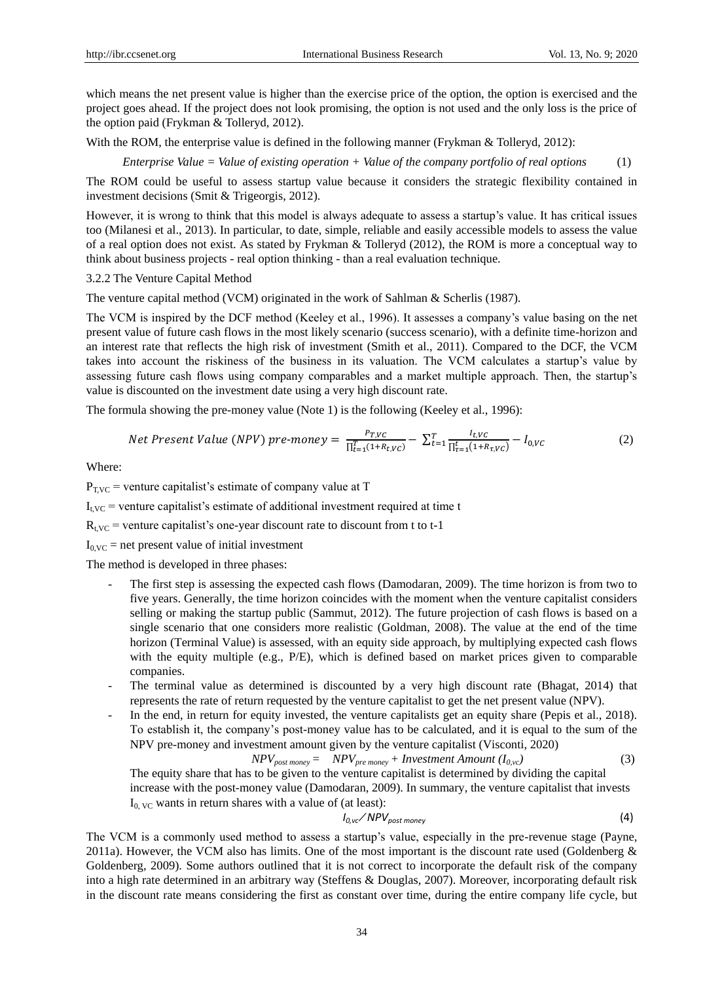which means the net present value is higher than the exercise price of the option, the option is exercised and the project goes ahead. If the project does not look promising, the option is not used and the only loss is the price of the option paid (Frykman & Tolleryd, 2012).

With the ROM, the enterprise value is defined in the following manner (Frykman & Tolleryd, 2012):

*Enterprise Value = Value of existing operation + Value of the company portfolio of real options* (1)

The ROM could be useful to assess startup value because it considers the strategic flexibility contained in investment decisions (Smit & Trigeorgis, 2012).

However, it is wrong to think that this model is always adequate to assess a startup's value. It has critical issues too (Milanesi et al., 2013). In particular, to date, simple, reliable and easily accessible models to assess the value of a real option does not exist. As stated by Frykman & Tolleryd (2012), the ROM is more a conceptual way to think about business projects - real option thinking - than a real evaluation technique.

3.2.2 The Venture Capital Method

The venture capital method (VCM) originated in the work of Sahlman & Scherlis (1987).

The VCM is inspired by the DCF method (Keeley et al., 1996). It assesses a company's value basing on the net present value of future cash flows in the most likely scenario (success scenario), with a definite time-horizon and an interest rate that reflects the high risk of investment (Smith et al., 2011). Compared to the DCF, the VCM takes into account the riskiness of the business in its valuation. The VCM calculates a startup's value by assessing future cash flows using company comparables and a market multiple approach. Then, the startup's value is discounted on the investment date using a very high discount rate.

The formula showing the pre-money value (Note 1) is the following (Keeley et al., 1996):

Net Present Value (NPV) pre-money = 
$$
\frac{P_{T,VC}}{\prod_{t=1}^{T} (1+R_{t,VC})} - \sum_{t=1}^{T} \frac{I_{t,VC}}{\prod_{\tau=1}^{t} (1+R_{\tau,VC})} - I_{0,VC}
$$
 (2)

Where:

 $P_{TVC}$  = venture capitalist's estimate of company value at T

 $I_{\text{tVC}}$  = venture capitalist's estimate of additional investment required at time t

 $R_{t,VC}$  = venture capitalist's one-year discount rate to discount from t to t-1

 $I_{0,VC}$  = net present value of initial investment

The method is developed in three phases:

- The first step is assessing the expected cash flows (Damodaran, 2009). The time horizon is from two to five years. Generally, the time horizon coincides with the moment when the venture capitalist considers selling or making the startup public (Sammut, 2012). The future projection of cash flows is based on a single scenario that one considers more realistic (Goldman, 2008). The value at the end of the time horizon (Terminal Value) is assessed, with an equity side approach, by multiplying expected cash flows with the equity multiple (e.g., P/E), which is defined based on market prices given to comparable companies.
- The terminal value as determined is discounted by a very high discount rate (Bhagat, 2014) that represents the rate of return requested by the venture capitalist to get the net present value (NPV).
- In the end, in return for equity invested, the venture capitalists get an equity share (Pepis et al., 2018). To establish it, the company's post-money value has to be calculated, and it is equal to the sum of the NPV pre-money and investment amount given by the venture capitalist (Visconti, 2020)

$$
NPV_{post \, money} = NPV_{pre \, money} + Investment \, Amount \, (I_{0,vc}) \tag{3}
$$

The equity share that has to be given to the venture capitalist is determined by dividing the capital increase with the post-money value (Damodaran, 2009). In summary, the venture capitalist that invests  $I_{0, \, VC}$  wants in return shares with a value of (at least):

$$
I_{0,vc}/NPV_{post \, money} \tag{4}
$$

The VCM is a commonly used method to assess a startup's value, especially in the pre-revenue stage (Payne, 2011a). However, the VCM also has limits. One of the most important is the discount rate used (Goldenberg  $\&$ Goldenberg, 2009). Some authors outlined that it is not correct to incorporate the default risk of the company into a high rate determined in an arbitrary way (Steffens & Douglas, 2007). Moreover, incorporating default risk in the discount rate means considering the first as constant over time, during the entire company life cycle, but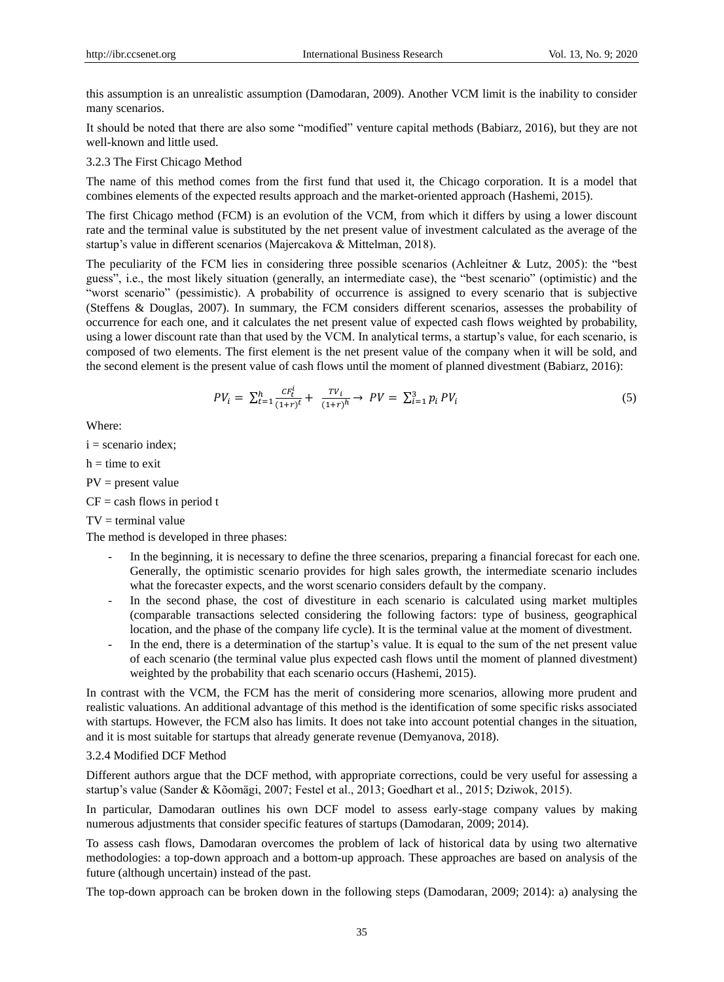this assumption is an unrealistic assumption (Damodaran, 2009). Another VCM limit is the inability to consider many scenarios.

It should be noted that there are also some "modified" venture capital methods (Babiarz, 2016), but they are not well-known and little used.

#### 3.2.3 The First Chicago Method

The name of this method comes from the first fund that used it, the Chicago corporation. It is a model that combines elements of the expected results approach and the market-oriented approach (Hashemi, 2015).

The first Chicago method (FCM) is an evolution of the VCM, from which it differs by using a lower discount rate and the terminal value is substituted by the net present value of investment calculated as the average of the startup's value in different scenarios (Majercakova & Mittelman, 2018).

The peculiarity of the FCM lies in considering three possible scenarios (Achleitner & Lutz, 2005): the "best guess", i.e., the most likely situation (generally, an intermediate case), the "best scenario" (optimistic) and the ―worst scenario‖ (pessimistic). A probability of occurrence is assigned to every scenario that is subjective (Steffens & Douglas, 2007). In summary, the FCM considers different scenarios, assesses the probability of occurrence for each one, and it calculates the net present value of expected cash flows weighted by probability, using a lower discount rate than that used by the VCM. In analytical terms, a startup's value, for each scenario, is composed of two elements. The first element is the net present value of the company when it will be sold, and the second element is the present value of cash flows until the moment of planned divestment (Babiarz, 2016):

$$
PV_{i} = \sum_{t=1}^{h} \frac{CF_{t}^{i}}{(1+r)^{t}} + \frac{TV_{i}}{(1+r)^{h}} \to PV = \sum_{i=1}^{3} p_{i} PV_{i}
$$
(5)

Where:

 $i =$  scenario index;

 $h =$  time to exit

 $PV = present value$ 

 $CF = cash$  flows in period t

 $TV = terminal value$ 

The method is developed in three phases:

- In the beginning, it is necessary to define the three scenarios, preparing a financial forecast for each one. Generally, the optimistic scenario provides for high sales growth, the intermediate scenario includes what the forecaster expects, and the worst scenario considers default by the company.
- In the second phase, the cost of divestiture in each scenario is calculated using market multiples (comparable transactions selected considering the following factors: type of business, geographical location, and the phase of the company life cycle). It is the terminal value at the moment of divestment.
- In the end, there is a determination of the startup's value. It is equal to the sum of the net present value of each scenario (the terminal value plus expected cash flows until the moment of planned divestment) weighted by the probability that each scenario occurs (Hashemi, 2015).

In contrast with the VCM, the FCM has the merit of considering more scenarios, allowing more prudent and realistic valuations. An additional advantage of this method is the identification of some specific risks associated with startups. However, the FCM also has limits. It does not take into account potential changes in the situation, and it is most suitable for startups that already generate revenue (Demyanova, 2018).

#### 3.2.4 Modified DCF Method

Different authors argue that the DCF method, with appropriate corrections, could be very useful for assessing a startup's value (Sander & Kõomägi, 2007; Festel et al., 2013; Goedhart et al., 2015; Dziwok, 2015).

In particular, Damodaran outlines his own DCF model to assess early-stage company values by making numerous adjustments that consider specific features of startups (Damodaran, 2009; 2014).

To assess cash flows, Damodaran overcomes the problem of lack of historical data by using two alternative methodologies: a top-down approach and a bottom-up approach. These approaches are based on analysis of the future (although uncertain) instead of the past.

The top-down approach can be broken down in the following steps (Damodaran, 2009; 2014): a) analysing the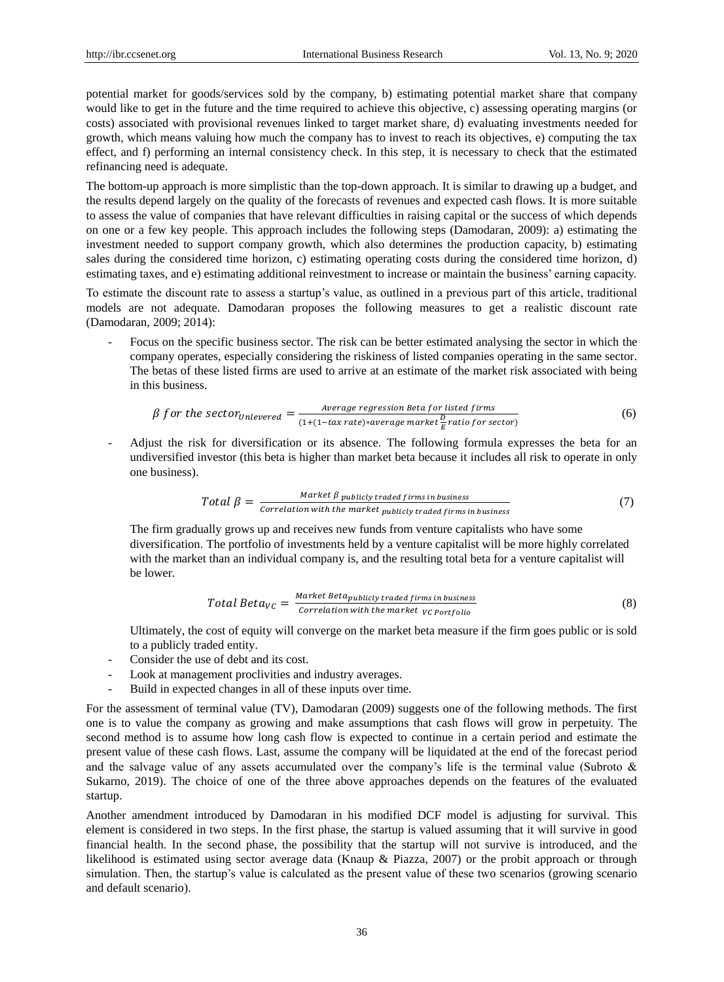potential market for goods/services sold by the company, b) estimating potential market share that company would like to get in the future and the time required to achieve this objective, c) assessing operating margins (or costs) associated with provisional revenues linked to target market share, d) evaluating investments needed for growth, which means valuing how much the company has to invest to reach its objectives, e) computing the tax effect, and f) performing an internal consistency check. In this step, it is necessary to check that the estimated refinancing need is adequate.

The bottom-up approach is more simplistic than the top-down approach. It is similar to drawing up a budget, and the results depend largely on the quality of the forecasts of revenues and expected cash flows. It is more suitable to assess the value of companies that have relevant difficulties in raising capital or the success of which depends on one or a few key people. This approach includes the following steps (Damodaran, 2009): a) estimating the investment needed to support company growth, which also determines the production capacity, b) estimating sales during the considered time horizon, c) estimating operating costs during the considered time horizon, d) estimating taxes, and e) estimating additional reinvestment to increase or maintain the business' earning capacity.

To estimate the discount rate to assess a startup's value, as outlined in a previous part of this article, traditional models are not adequate. Damodaran proposes the following measures to get a realistic discount rate (Damodaran, 2009; 2014):

Focus on the specific business sector. The risk can be better estimated analysing the sector in which the company operates, especially considering the riskiness of listed companies operating in the same sector. The betas of these listed firms are used to arrive at an estimate of the market risk associated with being in this business.

$$
\beta \text{ for the sector}_{Unlevered} = \frac{\text{Average regression Beta for listed firms}}{(1 + (1 - tax rate) * average market \frac{D}{E} ratio for sector)} \tag{6}
$$

- Adjust the risk for diversification or its absence. The following formula expresses the beta for an undiversified investor (this beta is higher than market beta because it includes all risk to operate in only one business).

$$
Total \beta = \frac{Market \beta \, publicly \, traded \, firms \, in \, business}{Correlation \, with \, the \, market \, publicly \, traded \, firms \, in \, business} \tag{7}
$$

The firm gradually grows up and receives new funds from venture capitalists who have some diversification. The portfolio of investments held by a venture capitalist will be more highly correlated with the market than an individual company is, and the resulting total beta for a venture capitalist will be lower.

$$
Total Beta_{VC} = \frac{Market \ Beta_{publicly \ trade \ firms \ in \ business}}{Correlation \ with \ the \ market \ \ v_{C \ Port \, 0}} \tag{8}
$$

Ultimately, the cost of equity will converge on the market beta measure if the firm goes public or is sold to a publicly traded entity.

- Consider the use of debt and its cost.
- Look at management proclivities and industry averages.
- Build in expected changes in all of these inputs over time.

For the assessment of terminal value (TV), Damodaran (2009) suggests one of the following methods. The first one is to value the company as growing and make assumptions that cash flows will grow in perpetuity. The second method is to assume how long cash flow is expected to continue in a certain period and estimate the present value of these cash flows. Last, assume the company will be liquidated at the end of the forecast period and the salvage value of any assets accumulated over the company's life is the terminal value (Subroto  $\&$ Sukarno, 2019). The choice of one of the three above approaches depends on the features of the evaluated startup.

Another amendment introduced by Damodaran in his modified DCF model is adjusting for survival. This element is considered in two steps. In the first phase, the startup is valued assuming that it will survive in good financial health. In the second phase, the possibility that the startup will not survive is introduced, and the likelihood is estimated using sector average data (Knaup & Piazza, 2007) or the probit approach or through simulation. Then, the startup's value is calculated as the present value of these two scenarios (growing scenario and default scenario).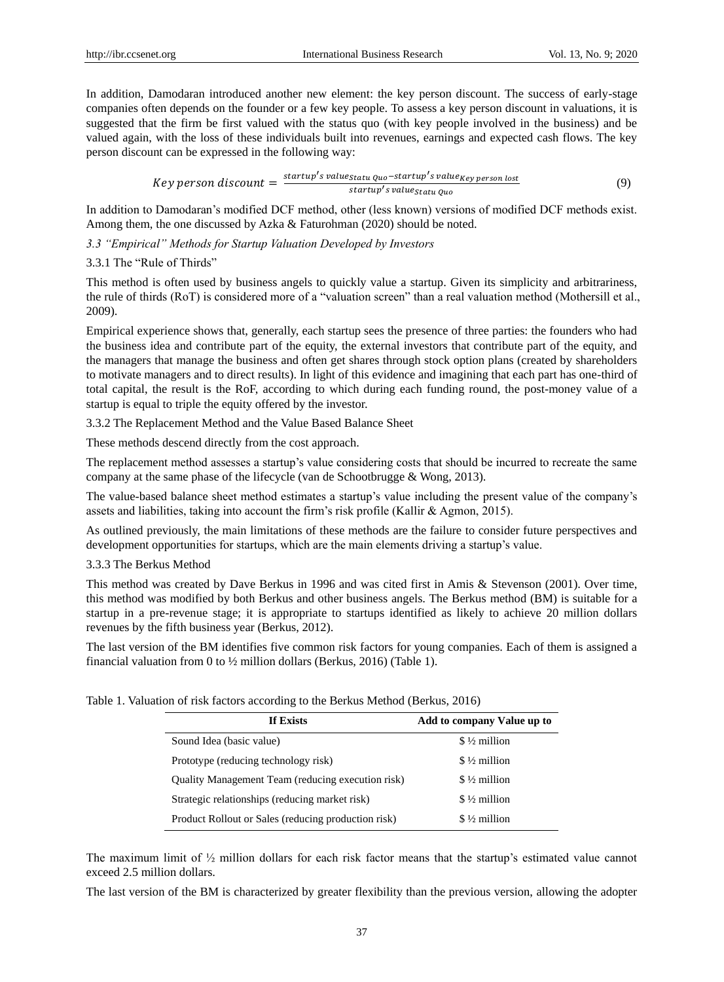In addition, Damodaran introduced another new element: the key person discount. The success of early-stage companies often depends on the founder or a few key people. To assess a key person discount in valuations, it is suggested that the firm be first valued with the status quo (with key people involved in the business) and be valued again, with the loss of these individuals built into revenues, earnings and expected cash flows. The key person discount can be expressed in the following way:

Key person discount = 
$$
\frac{startup's value_{statu}^{2}u_0 - startup's value_{key}}{startup's value_{statu}^{2}u_0}
$$
 (9)

In addition to Damodaran's modified DCF method, other (less known) versions of modified DCF methods exist. Among them, the one discussed by Azka & Faturohman (2020) should be noted.

## *3.3 "Empirical" Methods for Startup Valuation Developed by Investors*

## 3.3.1 The "Rule of Thirds"

This method is often used by business angels to quickly value a startup. Given its simplicity and arbitrariness, the rule of thirds (RoT) is considered more of a "valuation screen" than a real valuation method (Mothersill et al., 2009).

Empirical experience shows that, generally, each startup sees the presence of three parties: the founders who had the business idea and contribute part of the equity, the external investors that contribute part of the equity, and the managers that manage the business and often get shares through stock option plans (created by shareholders to motivate managers and to direct results). In light of this evidence and imagining that each part has one-third of total capital, the result is the RoF, according to which during each funding round, the post-money value of a startup is equal to triple the equity offered by the investor.

3.3.2 The Replacement Method and the Value Based Balance Sheet

These methods descend directly from the cost approach.

The replacement method assesses a startup's value considering costs that should be incurred to recreate the same company at the same phase of the lifecycle (van de Schootbrugge & Wong, 2013).

The value-based balance sheet method estimates a startup's value including the present value of the company's assets and liabilities, taking into account the firm's risk profile (Kallir & Agmon, 2015).

As outlined previously, the main limitations of these methods are the failure to consider future perspectives and development opportunities for startups, which are the main elements driving a startup's value.

## 3.3.3 The Berkus Method

This method was created by Dave Berkus in 1996 and was cited first in Amis & Stevenson (2001). Over time, this method was modified by both Berkus and other business angels. The Berkus method (BM) is suitable for a startup in a pre-revenue stage; it is appropriate to startups identified as likely to achieve 20 million dollars revenues by the fifth business year (Berkus, 2012).

The last version of the BM identifies five common risk factors for young companies. Each of them is assigned a financial valuation from 0 to ½ million dollars (Berkus, 2016) (Table 1).

|  | Table 1. Valuation of risk factors according to the Berkus Method (Berkus, 2016) |  |  |
|--|----------------------------------------------------------------------------------|--|--|
|  |                                                                                  |  |  |

| If Exists                                                | Add to company Value up to |
|----------------------------------------------------------|----------------------------|
| Sound Idea (basic value)                                 | $$ \frac{1}{2}$ million    |
| Prototype (reducing technology risk)                     | $$ \frac{1}{2}$ million    |
| <b>Quality Management Team (reducing execution risk)</b> | $$ \frac{1}{2}$ million    |
| Strategic relationships (reducing market risk)           | $$ \frac{1}{2}$ million    |
| Product Rollout or Sales (reducing production risk)      | $$ \frac{1}{2}$ million    |

The maximum limit of  $\frac{1}{2}$  million dollars for each risk factor means that the startup's estimated value cannot exceed 2.5 million dollars.

The last version of the BM is characterized by greater flexibility than the previous version, allowing the adopter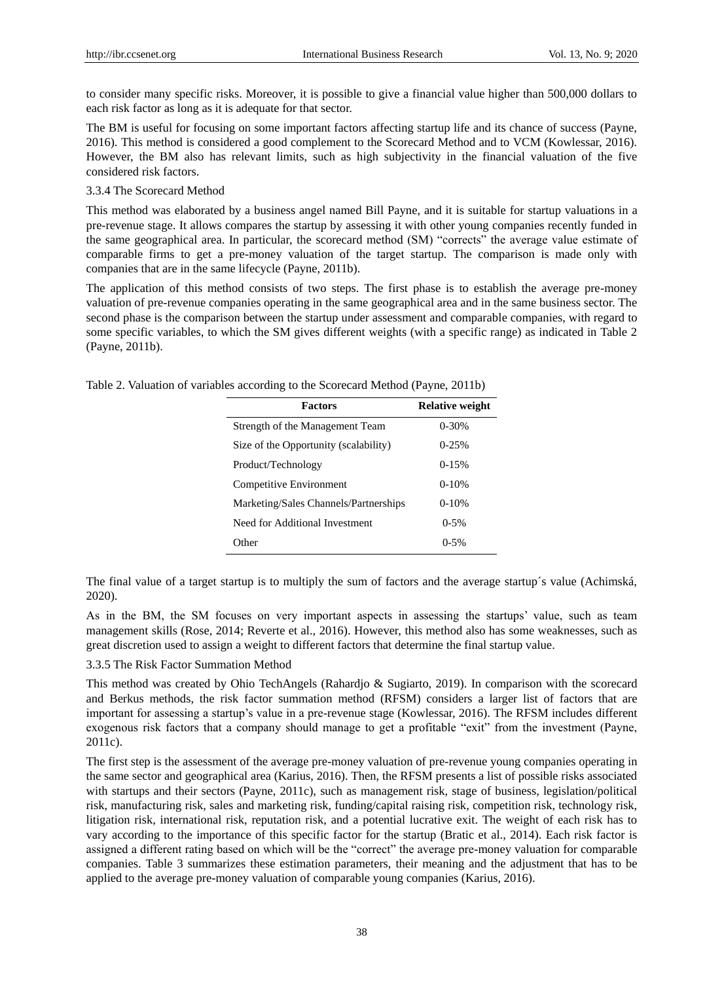to consider many specific risks. Moreover, it is possible to give a financial value higher than 500,000 dollars to each risk factor as long as it is adequate for that sector.

The BM is useful for focusing on some important factors affecting startup life and its chance of success (Payne, 2016). This method is considered a good complement to the Scorecard Method and to VCM (Kowlessar, 2016). However, the BM also has relevant limits, such as high subjectivity in the financial valuation of the five considered risk factors.

# 3.3.4 The Scorecard Method

This method was elaborated by a business angel named Bill Payne, and it is suitable for startup valuations in a pre-revenue stage. It allows compares the startup by assessing it with other young companies recently funded in the same geographical area. In particular, the scorecard method (SM) "corrects" the average value estimate of comparable firms to get a pre-money valuation of the target startup. The comparison is made only with companies that are in the same lifecycle (Payne, 2011b).

The application of this method consists of two steps. The first phase is to establish the average pre-money valuation of pre-revenue companies operating in the same geographical area and in the same business sector. The second phase is the comparison between the startup under assessment and comparable companies, with regard to some specific variables, to which the SM gives different weights (with a specific range) as indicated in Table 2 (Payne, 2011b).

Table 2. Valuation of variables according to the Scorecard Method (Payne, 2011b)

| <b>Factors</b>                        | <b>Relative weight</b> |
|---------------------------------------|------------------------|
| Strength of the Management Team       | $0 - 30%$              |
| Size of the Opportunity (scalability) | $0-25%$                |
| Product/Technology                    | $0 - 15%$              |
| Competitive Environment               | $0-10%$                |
| Marketing/Sales Channels/Partnerships | $0-10%$                |
| Need for Additional Investment        | $0-5%$                 |
| Other                                 | $0 - 5%$               |

The final value of a target startup is to multiply the sum of factors and the average startup  $\acute{\text{s}}$  value (Achimská, 2020).

As in the BM, the SM focuses on very important aspects in assessing the startups' value, such as team management skills (Rose, 2014; Reverte et al., 2016). However, this method also has some weaknesses, such as great discretion used to assign a weight to different factors that determine the final startup value.

## 3.3.5 The Risk Factor Summation Method

This method was created by Ohio TechAngels (Rahardjo & Sugiarto, 2019). In comparison with the scorecard and Berkus methods, the risk factor summation method (RFSM) considers a larger list of factors that are important for assessing a startup's value in a pre-revenue stage (Kowlessar, 2016). The RFSM includes different exogenous risk factors that a company should manage to get a profitable "exit" from the investment (Payne, 2011c).

The first step is the assessment of the average pre-money valuation of pre-revenue young companies operating in the same sector and geographical area (Karius, 2016). Then, the RFSM presents a list of possible risks associated with startups and their sectors (Payne, 2011c), such as management risk, stage of business, legislation/political risk, manufacturing risk, sales and marketing risk, funding/capital raising risk, competition risk, technology risk, litigation risk, international risk, reputation risk, and a potential lucrative exit. The weight of each risk has to vary according to the importance of this specific factor for the startup (Bratic et al., 2014). Each risk factor is assigned a different rating based on which will be the "correct" the average pre-money valuation for comparable companies. Table 3 summarizes these estimation parameters, their meaning and the adjustment that has to be applied to the average pre-money valuation of comparable young companies (Karius, 2016).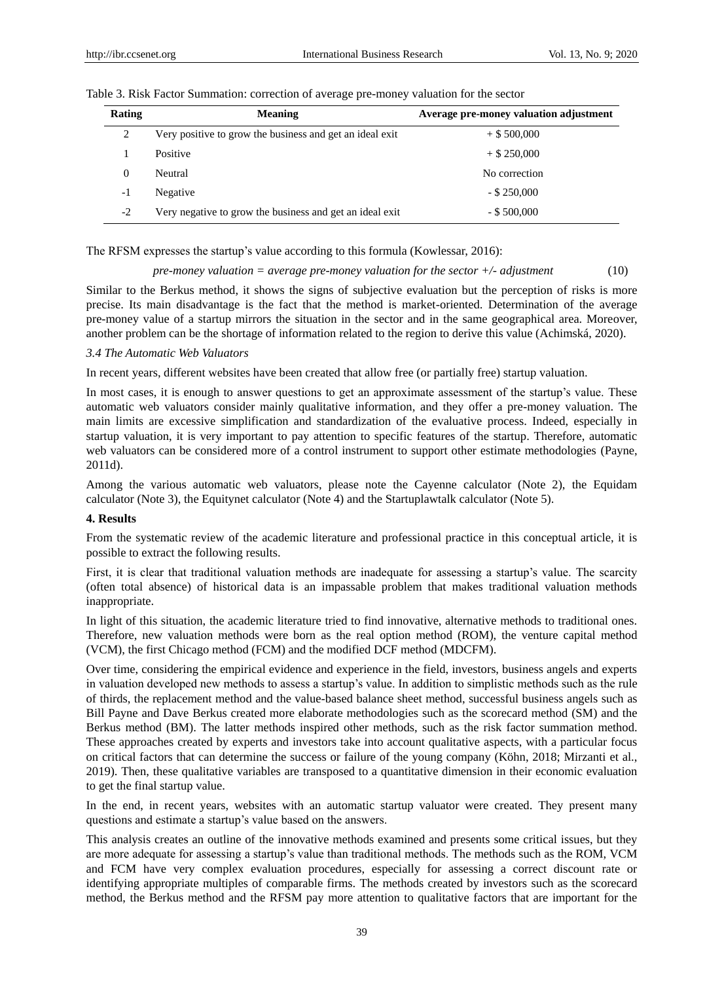| Rating        | <b>Meaning</b>                                           | Average pre-money valuation adjustment |
|---------------|----------------------------------------------------------|----------------------------------------|
| $\mathcal{D}$ | Very positive to grow the business and get an ideal exit | $+$ \$ 500,000                         |
|               | Positive                                                 | $+$ \$ 250,000                         |
|               | Neutral                                                  | No correction                          |
| -1            | Negative                                                 | $-$ \$ 250,000                         |
| $-2$          | Very negative to grow the business and get an ideal exit | $-$ \$ 500,000                         |

Table 3. Risk Factor Summation: correction of average pre-money valuation for the sector

The RFSM expresses the startup's value according to this formula (Kowlessar, 2016):

 *pre-money valuation = average pre-money valuation for the sector +/- adjustment* (10)

Similar to the Berkus method, it shows the signs of subjective evaluation but the perception of risks is more precise. Its main disadvantage is the fact that the method is market-oriented. Determination of the average pre-money value of a startup mirrors the situation in the sector and in the same geographical area. Moreover, another problem can be the shortage of information related to the region to derive this value (Achimská, 2020).

#### *3.4 The Automatic Web Valuators*

In recent years, different websites have been created that allow free (or partially free) startup valuation.

In most cases, it is enough to answer questions to get an approximate assessment of the startup's value. These automatic web valuators consider mainly qualitative information, and they offer a pre-money valuation. The main limits are excessive simplification and standardization of the evaluative process. Indeed, especially in startup valuation, it is very important to pay attention to specific features of the startup. Therefore, automatic web valuators can be considered more of a control instrument to support other estimate methodologies (Payne, 2011d).

Among the various automatic web valuators, please note the Cayenne calculator (Note 2), the Equidam calculator (Note 3), the Equitynet calculator (Note 4) and the Startuplawtalk calculator (Note 5).

#### **4. Results**

From the systematic review of the academic literature and professional practice in this conceptual article, it is possible to extract the following results.

First, it is clear that traditional valuation methods are inadequate for assessing a startup's value. The scarcity (often total absence) of historical data is an impassable problem that makes traditional valuation methods inappropriate.

In light of this situation, the academic literature tried to find innovative, alternative methods to traditional ones. Therefore, new valuation methods were born as the real option method (ROM), the venture capital method (VCM), the first Chicago method (FCM) and the modified DCF method (MDCFM).

Over time, considering the empirical evidence and experience in the field, investors, business angels and experts in valuation developed new methods to assess a startup's value. In addition to simplistic methods such as the rule of thirds, the replacement method and the value-based balance sheet method, successful business angels such as Bill Payne and Dave Berkus created more elaborate methodologies such as the scorecard method (SM) and the Berkus method (BM). The latter methods inspired other methods, such as the risk factor summation method. These approaches created by experts and investors take into account qualitative aspects, with a particular focus on critical factors that can determine the success or failure of the young company (Köhn, 2018; Mirzanti et al., 2019). Then, these qualitative variables are transposed to a quantitative dimension in their economic evaluation to get the final startup value.

In the end, in recent years, websites with an automatic startup valuator were created. They present many questions and estimate a startup's value based on the answers.

This analysis creates an outline of the innovative methods examined and presents some critical issues, but they are more adequate for assessing a startup's value than traditional methods. The methods such as the ROM, VCM and FCM have very complex evaluation procedures, especially for assessing a correct discount rate or identifying appropriate multiples of comparable firms. The methods created by investors such as the scorecard method, the Berkus method and the RFSM pay more attention to qualitative factors that are important for the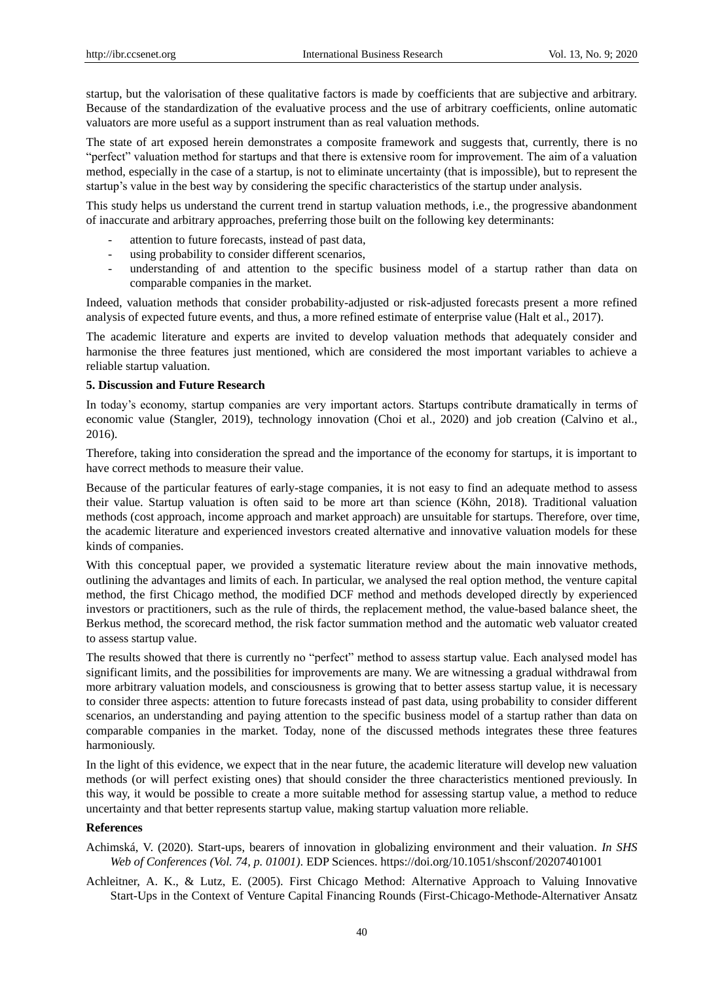startup, but the valorisation of these qualitative factors is made by coefficients that are subjective and arbitrary. Because of the standardization of the evaluative process and the use of arbitrary coefficients, online automatic valuators are more useful as a support instrument than as real valuation methods.

The state of art exposed herein demonstrates a composite framework and suggests that, currently, there is no "perfect" valuation method for startups and that there is extensive room for improvement. The aim of a valuation method, especially in the case of a startup, is not to eliminate uncertainty (that is impossible), but to represent the startup's value in the best way by considering the specific characteristics of the startup under analysis.

This study helps us understand the current trend in startup valuation methods, i.e., the progressive abandonment of inaccurate and arbitrary approaches, preferring those built on the following key determinants:

- attention to future forecasts, instead of past data,
- using probability to consider different scenarios,
- understanding of and attention to the specific business model of a startup rather than data on comparable companies in the market.

Indeed, valuation methods that consider probability-adjusted or risk-adjusted forecasts present a more refined analysis of expected future events, and thus, a more refined estimate of enterprise value (Halt et al., 2017).

The academic literature and experts are invited to develop valuation methods that adequately consider and harmonise the three features just mentioned, which are considered the most important variables to achieve a reliable startup valuation.

## **5. Discussion and Future Research**

In today's economy, startup companies are very important actors. Startups contribute dramatically in terms of economic value (Stangler, 2019), technology innovation (Choi et al., 2020) and job creation (Calvino et al., 2016).

Therefore, taking into consideration the spread and the importance of the economy for startups, it is important to have correct methods to measure their value.

Because of the particular features of early-stage companies, it is not easy to find an adequate method to assess their value. Startup valuation is often said to be more art than science (Köhn, 2018). Traditional valuation methods (cost approach, income approach and market approach) are unsuitable for startups. Therefore, over time, the academic literature and experienced investors created alternative and innovative valuation models for these kinds of companies.

With this conceptual paper, we provided a systematic literature review about the main innovative methods, outlining the advantages and limits of each. In particular, we analysed the real option method, the venture capital method, the first Chicago method, the modified DCF method and methods developed directly by experienced investors or practitioners, such as the rule of thirds, the replacement method, the value-based balance sheet, the Berkus method, the scorecard method, the risk factor summation method and the automatic web valuator created to assess startup value.

The results showed that there is currently no "perfect" method to assess startup value. Each analysed model has significant limits, and the possibilities for improvements are many. We are witnessing a gradual withdrawal from more arbitrary valuation models, and consciousness is growing that to better assess startup value, it is necessary to consider three aspects: attention to future forecasts instead of past data, using probability to consider different scenarios, an understanding and paying attention to the specific business model of a startup rather than data on comparable companies in the market. Today, none of the discussed methods integrates these three features harmoniously.

In the light of this evidence, we expect that in the near future, the academic literature will develop new valuation methods (or will perfect existing ones) that should consider the three characteristics mentioned previously. In this way, it would be possible to create a more suitable method for assessing startup value, a method to reduce uncertainty and that better represents startup value, making startup valuation more reliable.

## **References**

- Achimská, V. (2020). Start-ups, bearers of innovation in globalizing environment and their valuation. *In SHS Web of Conferences (Vol. 74, p. 01001)*. EDP Sciences. https://doi.org/10.1051/shsconf/20207401001
- Achleitner, A. K., & Lutz, E. (2005). First Chicago Method: Alternative Approach to Valuing Innovative Start-Ups in the Context of Venture Capital Financing Rounds (First-Chicago-Methode-Alternativer Ansatz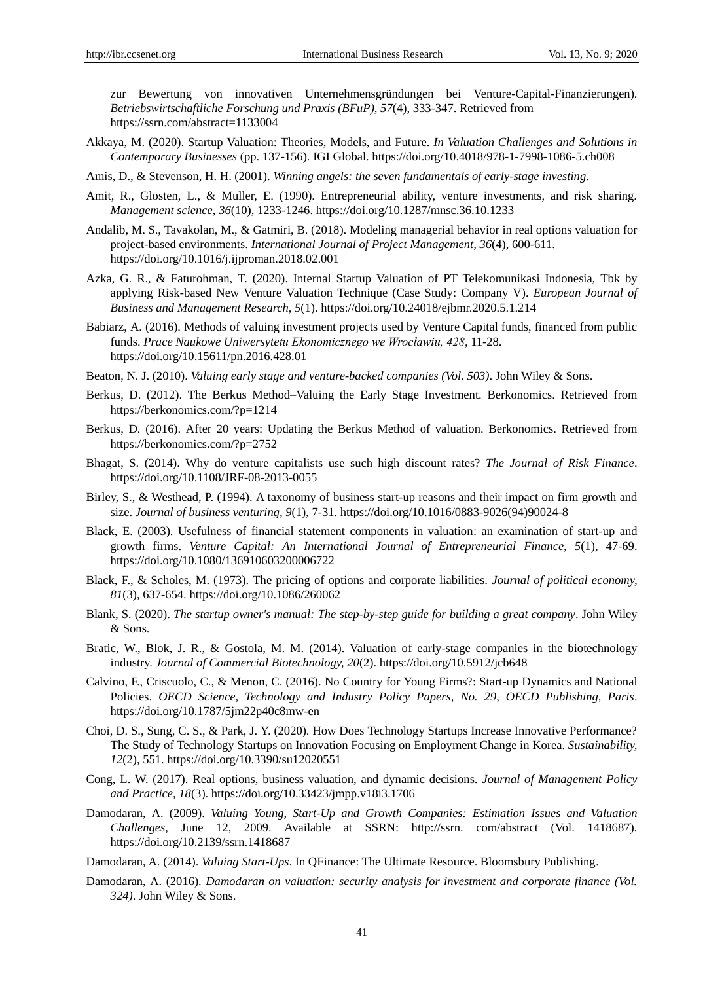zur Bewertung von innovativen Unternehmensgründungen bei Venture-Capital-Finanzierungen). *Betriebswirtschaftliche Forschung und Praxis (BFuP), 57*(4), 333-347. Retrieved from https://ssrn.com/abstract=1133004

Akkaya, M. (2020). Startup Valuation: Theories, Models, and Future. *In Valuation Challenges and Solutions in Contemporary Businesses* (pp. 137-156). IGI Global. https://doi.org/10.4018/978-1-7998-1086-5.ch008

Amis, D., & Stevenson, H. H. (2001). *Winning angels: the seven fundamentals of early-stage investing.*

- Amit, R., Glosten, L., & Muller, E. (1990). Entrepreneurial ability, venture investments, and risk sharing. *Management science, 36*(10), 1233-1246. https://doi.org/10.1287/mnsc.36.10.1233
- Andalib, M. S., Tavakolan, M., & Gatmiri, B. (2018). Modeling managerial behavior in real options valuation for project-based environments. *International Journal of Project Management, 36*(4), 600-611. https://doi.org/10.1016/j.ijproman.2018.02.001
- Azka, G. R., & Faturohman, T. (2020). Internal Startup Valuation of PT Telekomunikasi Indonesia, Tbk by applying Risk-based New Venture Valuation Technique (Case Study: Company V). *European Journal of Business and Management Research, 5*(1). https://doi.org/10.24018/ejbmr.2020.5.1.214
- Babiarz, A. (2016). Methods of valuing investment projects used by Venture Capital funds, financed from public funds. *Prace Naukowe Uniwersytetu Ekonomicznego we Wrocławiu, 428,* 11-28. https://doi.org/10.15611/pn.2016.428.01
- Beaton, N. J. (2010). *Valuing early stage and venture-backed companies (Vol. 503)*. John Wiley & Sons.
- Berkus, D. (2012). The Berkus Method–Valuing the Early Stage Investment. Berkonomics. Retrieved from https://berkonomics.com/?p=1214
- Berkus, D. (2016). After 20 years: Updating the Berkus Method of valuation. Berkonomics. Retrieved from https://berkonomics.com/?p=2752
- Bhagat, S. (2014). Why do venture capitalists use such high discount rates? *The Journal of Risk Finance*. https://doi.org/10.1108/JRF-08-2013-0055
- Birley, S., & Westhead, P. (1994). A taxonomy of business start-up reasons and their impact on firm growth and size. *Journal of business venturing, 9*(1), 7-31. https://doi.org/10.1016/0883-9026(94)90024-8
- Black, E. (2003). Usefulness of financial statement components in valuation: an examination of start-up and growth firms. *Venture Capital: An International Journal of Entrepreneurial Finance, 5*(1), 47-69. https://doi.org/10.1080/136910603200006722
- Black, F., & Scholes, M. (1973). The pricing of options and corporate liabilities. *Journal of political economy, 81*(3), 637-654. https://doi.org/10.1086/260062
- Blank, S. (2020). *The startup owner's manual: The step-by-step guide for building a great company*. John Wiley & Sons.
- Bratic, W., Blok, J. R., & Gostola, M. M. (2014). Valuation of early-stage companies in the biotechnology industry. *Journal of Commercial Biotechnology, 20*(2). https://doi.org/10.5912/jcb648
- Calvino, F., Criscuolo, C., & Menon, C. (2016). No Country for Young Firms?: Start-up Dynamics and National Policies. *OECD Science, Technology and Industry Policy Papers, No. 29, OECD Publishing, Paris*. https://doi.org/10.1787/5jm22p40c8mw-en
- Choi, D. S., Sung, C. S., & Park, J. Y. (2020). How Does Technology Startups Increase Innovative Performance? The Study of Technology Startups on Innovation Focusing on Employment Change in Korea. *Sustainability, 12*(2), 551. https://doi.org/10.3390/su12020551
- Cong, L. W. (2017). Real options, business valuation, and dynamic decisions*. Journal of Management Policy and Practice, 18*(3). https://doi.org/10.33423/jmpp.v18i3.1706
- Damodaran, A. (2009). *Valuing Young, Start-Up and Growth Companies: Estimation Issues and Valuation Challenges*, June 12, 2009. Available at SSRN: http://ssrn. com/abstract (Vol. 1418687). https://doi.org/10.2139/ssrn.1418687
- Damodaran, A. (2014). *Valuing Start-Ups*. In QFinance: The Ultimate Resource. Bloomsbury Publishing.
- Damodaran, A. (2016). *Damodaran on valuation: security analysis for investment and corporate finance (Vol. 324)*. John Wiley & Sons.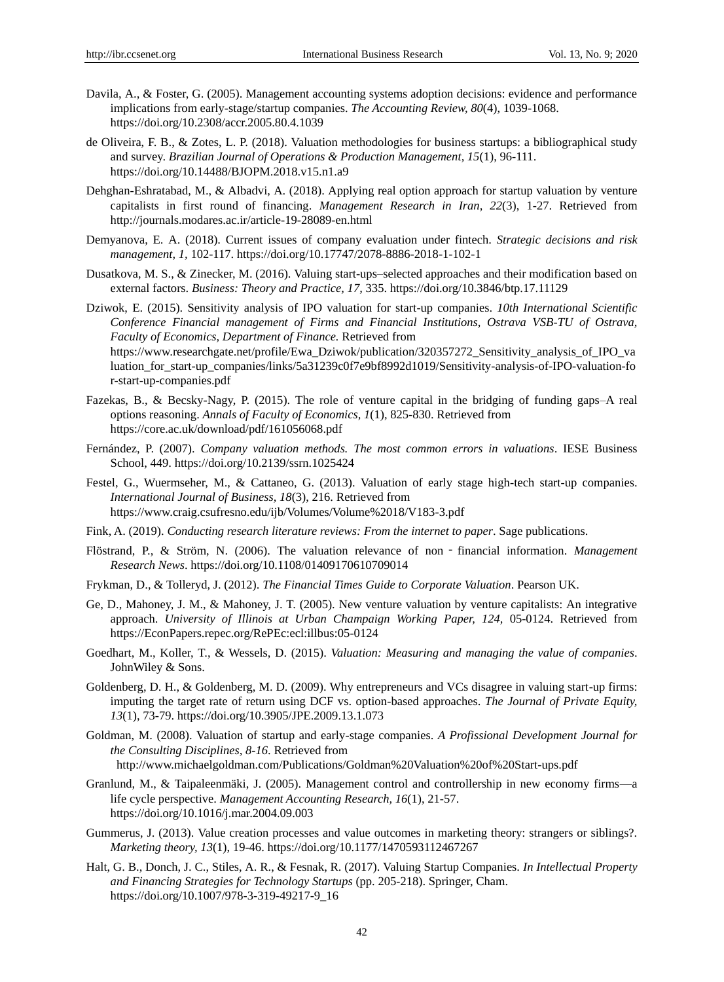- Davila, A., & Foster, G. (2005). Management accounting systems adoption decisions: evidence and performance implications from early-stage/startup companies. *The Accounting Review, 80*(4), 1039-1068. https://doi.org/10.2308/accr.2005.80.4.1039
- de Oliveira, F. B., & Zotes, L. P. (2018). Valuation methodologies for business startups: a bibliographical study and survey. *Brazilian Journal of Operations & Production Management, 15*(1), 96-111. https://doi.org/10.14488/BJOPM.2018.v15.n1.a9
- Dehghan-Eshratabad, M., & Albadvi, A. (2018). Applying real option approach for startup valuation by venture capitalists in first round of financing. *Management Research in Iran, 22*(3), 1-27. Retrieved from http://journals.modares.ac.ir/article-19-28089-en.html
- Demyanova, E. A. (2018). Current issues of company evaluation under fintech. *Strategic decisions and risk management, 1,* 102-117. https://doi.org/10.17747/2078-8886-2018-1-102-1
- Dusatkova, M. S., & Zinecker, M. (2016). Valuing start-ups–selected approaches and their modification based on external factors. *Business: Theory and Practice, 17,* 335. https://doi.org/10.3846/btp.17.11129
- Dziwok, E. (2015). Sensitivity analysis of IPO valuation for start-up companies. *10th International Scientific Conference Financial management of Firms and Financial Institutions, Ostrava VSB-TU of Ostrava, Faculty of Economics, Department of Finance.* Retrieved from https://www.researchgate.net/profile/Ewa\_Dziwok/publication/320357272\_Sensitivity\_analysis\_of\_IPO\_va luation for start-up companies/links/5a31239c0f7e9bf8992d1019/Sensitivity-analysis-of-IPO-valuation-fo r-start-up-companies.pdf
- Fazekas, B., & Becsky-Nagy, P. (2015). The role of venture capital in the bridging of funding gaps–A real options reasoning. *Annals of Faculty of Economics, 1*(1), 825-830. Retrieved from https://core.ac.uk/download/pdf/161056068.pdf
- Fernández, P. (2007). *Company valuation methods. The most common errors in valuations*. IESE Business School, 449. https://doi.org/10.2139/ssrn.1025424
- Festel, G., Wuermseher, M., & Cattaneo, G. (2013). Valuation of early stage high-tech start-up companies. *International Journal of Business, 18*(3), 216. Retrieved from https://www.craig.csufresno.edu/ijb/Volumes/Volume%2018/V183-3.pdf
- Fink, A. (2019). *Conducting research literature reviews: From the internet to paper*. Sage publications.
- Flöstrand, P., & Ström, N. (2006). The valuation relevance of non‐financial information. *Management Research News*. https://doi.org/10.1108/01409170610709014
- Frykman, D., & Tolleryd, J. (2012). *The Financial Times Guide to Corporate Valuation*. Pearson UK.
- Ge, D., Mahoney, J. M., & Mahoney, J. T. (2005). New venture valuation by venture capitalists: An integrative approach. *University of Illinois at Urban Champaign Working Paper, 124,* 05-0124. Retrieved from https://EconPapers.repec.org/RePEc:ecl:illbus:05-0124
- Goedhart, M., Koller, T., & Wessels, D. (2015). *Valuation: Measuring and managing the value of companies*. JohnWiley & Sons.
- Goldenberg, D. H., & Goldenberg, M. D. (2009). Why entrepreneurs and VCs disagree in valuing start-up firms: imputing the target rate of return using DCF vs. option-based approaches. *The Journal of Private Equity, 13*(1), 73-79. https://doi.org/10.3905/JPE.2009.13.1.073
- Goldman, M. (2008). Valuation of startup and early-stage companies. *A Profissional Development Journal for the Consulting Disciplines, 8-16*. Retrieved from http://www.michaelgoldman.com/Publications/Goldman%20Valuation%20of%20Start-ups.pdf
- Granlund, M., & Taipaleenmäki, J. (2005). Management control and controllership in new economy firms—a life cycle perspective. *Management Accounting Research, 16*(1), 21-57. https://doi.org/10.1016/j.mar.2004.09.003
- Gummerus, J. (2013). Value creation processes and value outcomes in marketing theory: strangers or siblings?. *Marketing theory, 13*(1), 19-46. https://doi.org/10.1177/1470593112467267
- Halt, G. B., Donch, J. C., Stiles, A. R., & Fesnak, R. (2017). Valuing Startup Companies. *In Intellectual Property and Financing Strategies for Technology Startups* (pp. 205-218). Springer, Cham. https://doi.org/10.1007/978-3-319-49217-9\_16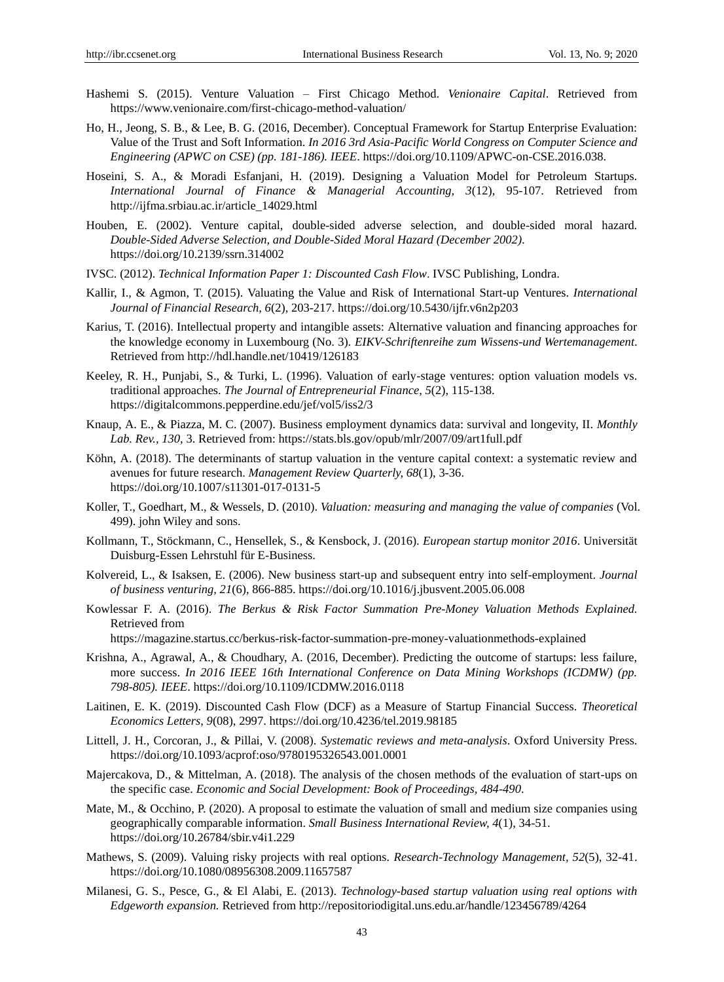- Hashemi S. (2015). Venture Valuation First Chicago Method. *Venionaire Capital*. Retrieved from https://www.venionaire.com/first-chicago-method-valuation/
- Ho, H., Jeong, S. B., & Lee, B. G. (2016, December). Conceptual Framework for Startup Enterprise Evaluation: Value of the Trust and Soft Information. *In 2016 3rd Asia-Pacific World Congress on Computer Science and Engineering (APWC on CSE) (pp. 181-186). IEEE*. https://doi.org/10.1109/APWC-on-CSE.2016.038.
- Hoseini, S. A., & Moradi Esfanjani, H. (2019). Designing a Valuation Model for Petroleum Startups*. International Journal of Finance & Managerial Accounting, 3*(12), 95-107. Retrieved from http://ijfma.srbiau.ac.ir/article\_14029.html
- Houben, E. (2002). Venture capital, double-sided adverse selection, and double-sided moral hazard*. Double-Sided Adverse Selection, and Double-Sided Moral Hazard (December 2002)*. https://doi.org/10.2139/ssrn.314002
- IVSC. (2012). *Technical Information Paper 1: Discounted Cash Flow*. IVSC Publishing, Londra.
- Kallir, I., & Agmon, T. (2015). Valuating the Value and Risk of International Start-up Ventures. *International Journal of Financial Research, 6*(2), 203-217. https://doi.org/10.5430/ijfr.v6n2p203
- Karius, T. (2016). Intellectual property and intangible assets: Alternative valuation and financing approaches for the knowledge economy in Luxembourg (No. 3). *EIKV-Schriftenreihe zum Wissens-und Wertemanagement*. Retrieved from http://hdl.handle.net/10419/126183
- Keeley, R. H., Punjabi, S., & Turki, L. (1996). Valuation of early-stage ventures: option valuation models vs. traditional approaches. *The Journal of Entrepreneurial Finance, 5*(2), 115-138. https://digitalcommons.pepperdine.edu/jef/vol5/iss2/3
- Knaup, A. E., & Piazza, M. C. (2007). Business employment dynamics data: survival and longevity, II. *Monthly Lab. Rev., 130,* 3. Retrieved from: https://stats.bls.gov/opub/mlr/2007/09/art1full.pdf
- Köhn, A. (2018). The determinants of startup valuation in the venture capital context: a systematic review and avenues for future research. *Management Review Quarterly, 68*(1), 3-36. https://doi.org/10.1007/s11301-017-0131-5
- Koller, T., Goedhart, M., & Wessels, D. (2010). *Valuation: measuring and managing the value of companies* (Vol. 499). john Wiley and sons.
- Kollmann, T., Stöckmann, C., Hensellek, S., & Kensbock, J. (2016). *European startup monitor 2016*. Universität Duisburg-Essen Lehrstuhl für E-Business.
- Kolvereid, L., & Isaksen, E. (2006). New business start-up and subsequent entry into self-employment. *Journal of business venturing, 21*(6), 866-885. https://doi.org/10.1016/j.jbusvent.2005.06.008
- Kowlessar F. A. (2016). *The Berkus & Risk Factor Summation Pre-Money Valuation Methods Explained.*  Retrieved from
	- https://magazine.startus.cc/berkus-risk-factor-summation-pre-money-valuationmethods-explained
- Krishna, A., Agrawal, A., & Choudhary, A. (2016, December). Predicting the outcome of startups: less failure, more success. *In 2016 IEEE 16th International Conference on Data Mining Workshops (ICDMW) (pp. 798-805). IEEE*. https://doi.org/10.1109/ICDMW.2016.0118
- Laitinen, E. K. (2019). Discounted Cash Flow (DCF) as a Measure of Startup Financial Success. *Theoretical Economics Letters, 9*(08), 2997. https://doi.org/10.4236/tel.2019.98185
- Littell, J. H., Corcoran, J., & Pillai, V. (2008). *Systematic reviews and meta-analysis*. Oxford University Press. https://doi.org/10.1093/acprof:oso/9780195326543.001.0001
- Majercakova, D., & Mittelman, A. (2018). The analysis of the chosen methods of the evaluation of start-ups on the specific case. *Economic and Social Development: Book of Proceedings, 484-490*.
- Mate, M., & Occhino, P. (2020). A proposal to estimate the valuation of small and medium size companies using geographically comparable information. *Small Business International Review, 4*(1), 34-51. https://doi.org/10.26784/sbir.v4i1.229
- Mathews, S. (2009). Valuing risky projects with real options. *Research-Technology Management, 52*(5), 32-41. https://doi.org/10.1080/08956308.2009.11657587
- Milanesi, G. S., Pesce, G., & El Alabi, E. (2013). *Technology-based startup valuation using real options with Edgeworth expansion.* Retrieved from http://repositoriodigital.uns.edu.ar/handle/123456789/4264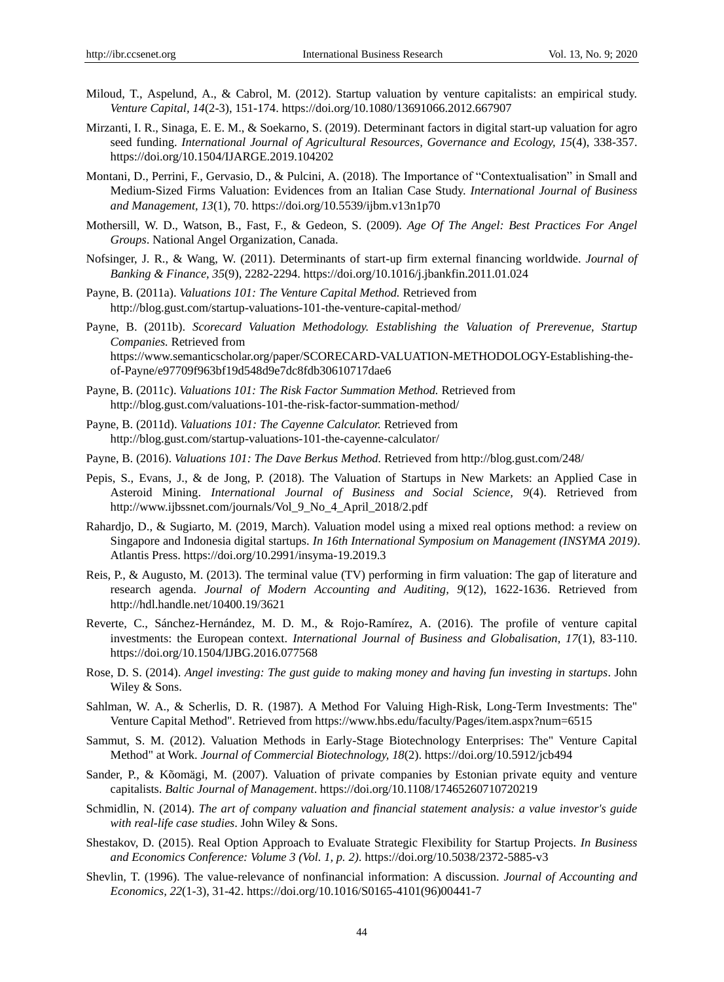- Miloud, T., Aspelund, A., & Cabrol, M. (2012). Startup valuation by venture capitalists: an empirical study. *Venture Capital, 14*(2-3), 151-174. https://doi.org/10.1080/13691066.2012.667907
- Mirzanti, I. R., Sinaga, E. E. M., & Soekarno, S. (2019). Determinant factors in digital start-up valuation for agro seed funding. *International Journal of Agricultural Resources, Governance and Ecology, 15*(4), 338-357. https://doi.org/10.1504/IJARGE.2019.104202
- Montani, D., Perrini, F., Gervasio, D., & Pulcini, A. (2018). The Importance of "Contextualisation" in Small and Medium-Sized Firms Valuation: Evidences from an Italian Case Study. *International Journal of Business and Management, 13*(1), 70. https://doi.org/10.5539/ijbm.v13n1p70
- Mothersill, W. D., Watson, B., Fast, F., & Gedeon, S. (2009). *Age Of The Angel: Best Practices For Angel Groups*. National Angel Organization, Canada.
- Nofsinger, J. R., & Wang, W. (2011). Determinants of start-up firm external financing worldwide. *Journal of Banking & Finance, 35*(9), 2282-2294. https://doi.org/10.1016/j.jbankfin.2011.01.024
- Payne, B. (2011a). *Valuations 101: The Venture Capital Method.* Retrieved from http://blog.gust.com/startup-valuations-101-the-venture-capital-method/
- Payne, B. (2011b). *Scorecard Valuation Methodology. Establishing the Valuation of Prerevenue, Startup Companies.* Retrieved from https://www.semanticscholar.org/paper/SCORECARD-VALUATION-METHODOLOGY-Establishing-theof-Payne/e97709f963bf19d548d9e7dc8fdb30610717dae6
- Payne, B. (2011c). *Valuations 101: The Risk Factor Summation Method.* Retrieved from http://blog.gust.com/valuations-101-the-risk-factor-summation-method/
- Payne, B. (2011d). *Valuations 101: The Cayenne Calculator.* Retrieved from http://blog.gust.com/startup-valuations-101-the-cayenne-calculator/
- Payne, B. (2016). *Valuations 101: The Dave Berkus Method.* Retrieved from http://blog.gust.com/248/
- Pepis, S., Evans, J., & de Jong, P. (2018). The Valuation of Startups in New Markets: an Applied Case in Asteroid Mining. *International Journal of Business and Social Science, 9*(4). Retrieved from http://www.ijbssnet.com/journals/Vol\_9\_No\_4\_April\_2018/2.pdf
- Rahardjo, D., & Sugiarto, M. (2019, March). Valuation model using a mixed real options method: a review on Singapore and Indonesia digital startups. *In 16th International Symposium on Management (INSYMA 2019)*. Atlantis Press. https://doi.org/10.2991/insyma-19.2019.3
- Reis, P., & Augusto, M. (2013). The terminal value (TV) performing in firm valuation: The gap of literature and research agenda. *Journal of Modern Accounting and Auditing, 9*(12), 1622-1636. Retrieved from http://hdl.handle.net/10400.19/3621
- Reverte, C., Sánchez-Hernández, M. D. M., & Rojo-Ramírez, A. (2016). The profile of venture capital investments: the European context. *International Journal of Business and Globalisation, 17*(1), 83-110. https://doi.org/10.1504/IJBG.2016.077568
- Rose, D. S. (2014). *Angel investing: The gust guide to making money and having fun investing in startups*. John Wiley & Sons.
- Sahlman, W. A., & Scherlis, D. R. (1987). A Method For Valuing High-Risk, Long-Term Investments: The" Venture Capital Method". Retrieved from https://www.hbs.edu/faculty/Pages/item.aspx?num=6515
- Sammut, S. M. (2012). Valuation Methods in Early-Stage Biotechnology Enterprises: The" Venture Capital Method" at Work. *Journal of Commercial Biotechnology, 18*(2). https://doi.org/10.5912/jcb494
- Sander, P., & Kõomägi, M. (2007). Valuation of private companies by Estonian private equity and venture capitalists. *Baltic Journal of Management*. https://doi.org/10.1108/17465260710720219
- Schmidlin, N. (2014). *The art of company valuation and financial statement analysis: a value investor's guide with real-life case studies*. John Wiley & Sons.
- Shestakov, D. (2015). Real Option Approach to Evaluate Strategic Flexibility for Startup Projects. *In Business and Economics Conference: Volume 3 (Vol. 1, p. 2)*. https://doi.org/10.5038/2372-5885-v3
- Shevlin, T. (1996). The value-relevance of nonfinancial information: A discussion. *Journal of Accounting and Economics, 22*(1-3), 31-42. https://doi.org/10.1016/S0165-4101(96)00441-7